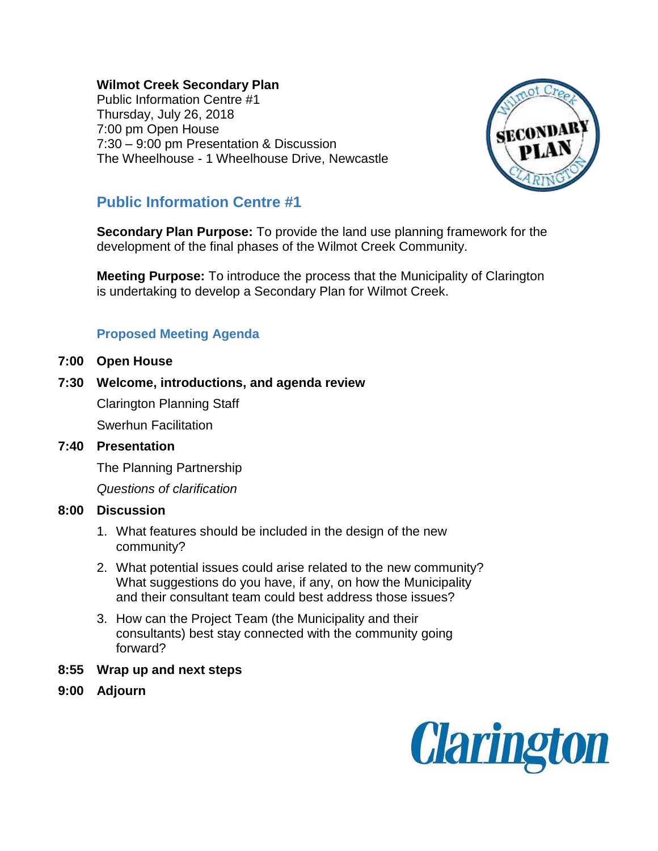## **Wilmot Creek Secondary Plan**

Public Information Centre #1 Thursday, July 26, 2018 7:00 pm Open House 7:30 – 9:00 pm Presentation & Discussion The Wheelhouse - 1 Wheelhouse Drive, Newcastle



# **Public Information Centre #1**

**Secondary Plan Purpose:** To provide the land use planning framework for the development of the final phases of the Wilmot Creek Community.

**Meeting Purpose:** To introduce the process that the Municipality of Clarington is undertaking to develop a Secondary Plan for Wilmot Creek.

# **Proposed Meeting Agenda**

- **7:00 Open House**
- **7:30 Welcome, introductions, and agenda review**  Clarington Planning Staff Swerhun Facilitation

## **7:40 Presentation**

The Planning Partnership

*Questions of clarification* 

#### **8:00 Discussion**

- 1. What features should be included in the design of the new community?
- 2. What potential issues could arise related to the new community? What suggestions do you have, if any, on how the Municipality and their consultant team could best address those issues?
- 3. How can the Project Team (the Municipality and their consultants) best stay connected with the community going forward?
- **8:55 Wrap up and next steps**
- **9:00 Adjourn**